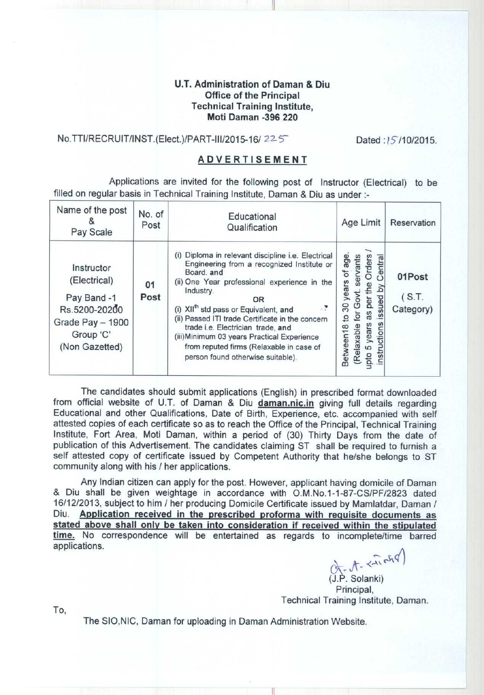### **U.T. Administration of Daman & Diu Office of the Principal Technical Training Institute, Moti Daman** -**396 220**

## No.TTI/RECRUIT/INST.(Elect.)/PART-III/2015-16/ 225 Dated :15/10/2015.

#### **ADVERTISEMENT**

**Applications are invited for the following post of Instructor** (**Electrical) to be filled on regular basis in Technical Training Institute** , **Daman & Diu as under :-**

| Name of the post<br>Pay Scale                                                                                 | No. of<br>Post | Educational<br>Qualification                                                                                                                                                                                                                                                                                                                                                                                                                                    | Age Limit                                                                                                                                                                   | Reservation                  |
|---------------------------------------------------------------------------------------------------------------|----------------|-----------------------------------------------------------------------------------------------------------------------------------------------------------------------------------------------------------------------------------------------------------------------------------------------------------------------------------------------------------------------------------------------------------------------------------------------------------------|-----------------------------------------------------------------------------------------------------------------------------------------------------------------------------|------------------------------|
| Instructor<br>(Electrical)<br>Pay Band -1<br>Rs.5200-20200<br>Grade Pay - 1900<br>Group 'C'<br>(Non Gazetted) | 01<br>Post     | (i) Diploma in relevant discipline i.e. Electrical<br>Engineering from a recognized Institute or<br>Board, and<br>(ii) One Year professional experience in the<br>Industry.<br>0R<br>(i) XII <sup>th</sup> std pass or Equivalent, and<br>(ii) Passed ITI trade Certificate in the concern<br>trade i.e. Electrician trade, and<br>(iii) Minimum 03 years Practical Experience<br>from reputed firms (Relaxable in case of<br>person found otherwise suitable). | age<br>Orders<br>Central<br>servants<br>$\overline{\sigma}$<br>years<br>λđ<br>issued<br>per<br>30<br>as<br>ē<br>°<br>instructions<br>upto 5 years<br>Relaxable<br>Between18 | 01Post<br>(S.T.<br>Category) |

The candidates should submit applications (English) in prescribed format downloaded from official website of U.T. of Daman & **Diu daman** . **nic.in giving full** details regarding Educational and other Qualifications, Date of Birth, Experience, etc. accompanied with self **attested** copies of each certificate so as to reach the Office of the Principal, Technical Training Institute, Fort Area, Moti Daman, within a period of (30) Thirty Days from the date of publication of this Advertisement. The candidates claiming ST shall be required to furnish a self attested copy of certificate issued by Competent Authority that he/she belongs to ST community along with his / her applications.

Any Indian citizen can apply for the post. However, applicant having domicile of Daman & Diu shall be given weightage in accordance with O.M.No.1-1-87-CS/PF/2823 dated 16/12/2013, subject to him / her producing Domicile Certificate issued by Mamlatdar, Daman / **Diu. Application received in the prescribed proforma with requisite documents as stated above shall only be taken into consideration if received within the stipulated time. No** correspondence will be entertained as regards to incomplete/time barred applications.

 $L - A - \frac{2}{3}arctan\theta$ **(J.P. Solanki) Principal, Technical Training Institute** , **Daman.**

To,

The SIO, **NIC, Daman for uploading in Daman Administration Website.**